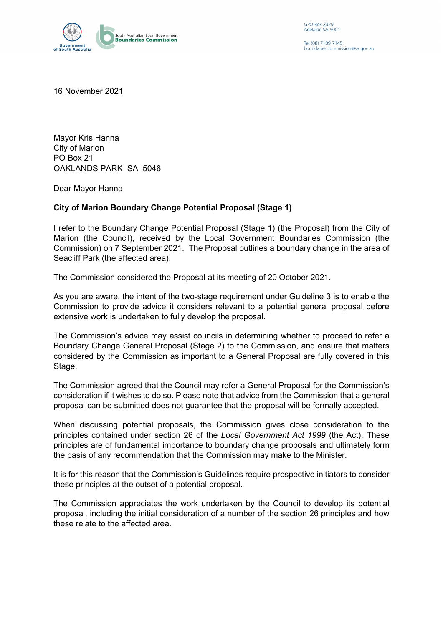

GPO Box 2329 Adelaide SA 5001

Tel (08) 7109 7145 boundaries.commission@sa.gov.au

16 November 2021

Mayor Kris Hanna City of Marion PO Box 21 OAKLANDS PARK SA 5046

Dear Mayor Hanna

## **City of Marion Boundary Change Potential Proposal (Stage 1)**

I refer to the Boundary Change Potential Proposal (Stage 1) (the Proposal) from the City of Marion (the Council), received by the Local Government Boundaries Commission (the Commission) on 7 September 2021. The Proposal outlines a boundary change in the area of Seacliff Park (the affected area).

The Commission considered the Proposal at its meeting of 20 October 2021.

As you are aware, the intent of the two-stage requirement under Guideline 3 is to enable the Commission to provide advice it considers relevant to a potential general proposal before extensive work is undertaken to fully develop the proposal.

The Commission's advice may assist councils in determining whether to proceed to refer a Boundary Change General Proposal (Stage 2) to the Commission, and ensure that matters considered by the Commission as important to a General Proposal are fully covered in this Stage.

The Commission agreed that the Council may refer a General Proposal for the Commission's consideration if it wishes to do so. Please note that advice from the Commission that a general proposal can be submitted does not guarantee that the proposal will be formally accepted.

When discussing potential proposals, the Commission gives close consideration to the principles contained under section 26 of the *Local Government Act 1999* (the Act). These principles are of fundamental importance to boundary change proposals and ultimately form the basis of any recommendation that the Commission may make to the Minister.

It is for this reason that the Commission's Guidelines require prospective initiators to consider these principles at the outset of a potential proposal.

The Commission appreciates the work undertaken by the Council to develop its potential proposal, including the initial consideration of a number of the section 26 principles and how these relate to the affected area.